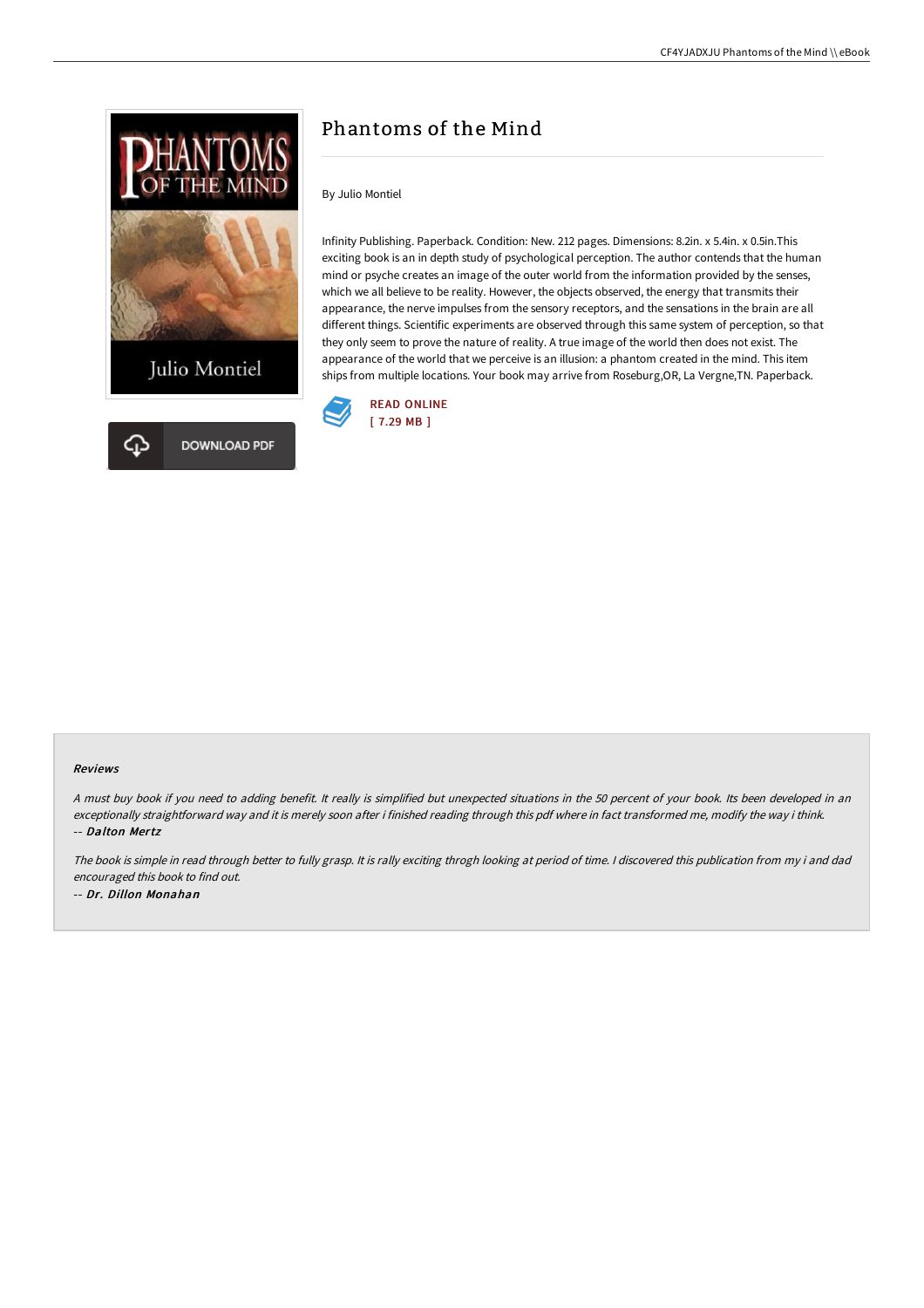



## Phantoms of the Mind

By Julio Montiel

Infinity Publishing. Paperback. Condition: New. 212 pages. Dimensions: 8.2in. x 5.4in. x 0.5in.This exciting book is an in depth study of psychological perception. The author contends that the human mind or psyche creates an image of the outer world from the information provided by the senses, which we all believe to be reality. However, the objects observed, the energy that transmits their appearance, the nerve impulses from the sensory receptors, and the sensations in the brain are all different things. Scientific experiments are observed through this same system of perception, so that they only seem to prove the nature of reality. A true image of the world then does not exist. The appearance of the world that we perceive is an illusion: a phantom created in the mind. This item ships from multiple locations. Your book may arrive from Roseburg,OR, La Vergne,TN. Paperback.



## Reviews

<sup>A</sup> must buy book if you need to adding benefit. It really is simplified but unexpected situations in the <sup>50</sup> percent of your book. Its been developed in an exceptionally straightforward way and it is merely soon after i finished reading through this pdf where in fact transformed me, modify the way i think. -- Dalton Mertz

The book is simple in read through better to fully grasp. It is rally exciting throgh looking at period of time. <sup>I</sup> discovered this publication from my i and dad encouraged this book to find out. -- Dr. Dillon Monahan